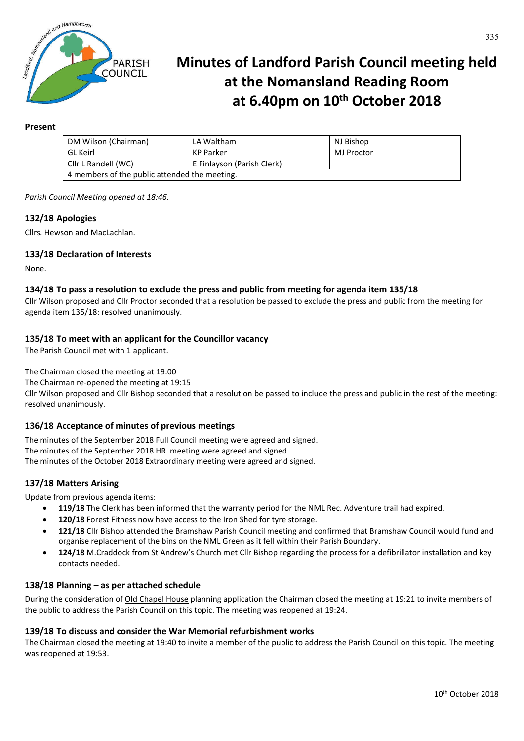

# **Minutes of Landford Parish Council meeting held at the Nomansland Reading Room at 6.40pm on 10th October 2018**

#### **Present**

| DM Wilson (Chairman)                          | LA Waltham                 | NJ Bishop  |
|-----------------------------------------------|----------------------------|------------|
| <b>GL Keirl</b>                               | KP Parker                  | MJ Proctor |
| Cllr L Randell (WC)                           | E Finlayson (Parish Clerk) |            |
| 4 members of the public attended the meeting. |                            |            |

*Parish Council Meeting opened at 18:46.*

#### **132/18 Apologies**

Cllrs. Hewson and MacLachlan.

#### **133/18 Declaration of Interests**

None.

#### **134/18 To pass a resolution to exclude the press and public from meeting for agenda item 135/18**

Cllr Wilson proposed and Cllr Proctor seconded that a resolution be passed to exclude the press and public from the meeting for agenda item 135/18: resolved unanimously.

#### **135/18 To meet with an applicant for the Councillor vacancy**

The Parish Council met with 1 applicant.

The Chairman closed the meeting at 19:00

The Chairman re-opened the meeting at 19:15

Cllr Wilson proposed and Cllr Bishop seconded that a resolution be passed to include the press and public in the rest of the meeting: resolved unanimously.

# **136/18 Acceptance of minutes of previous meetings**

The minutes of the September 2018 Full Council meeting were agreed and signed. The minutes of the September 2018 HR meeting were agreed and signed. The minutes of the October 2018 Extraordinary meeting were agreed and signed.

#### **137/18 Matters Arising**

Update from previous agenda items:

- **119/18** The Clerk has been informed that the warranty period for the NML Rec. Adventure trail had expired.
- **120/18** Forest Fitness now have access to the Iron Shed for tyre storage.
- **121/18** Cllr Bishop attended the Bramshaw Parish Council meeting and confirmed that Bramshaw Council would fund and organise replacement of the bins on the NML Green as it fell within their Parish Boundary.
- **124/18** M.Craddock from St Andrew's Church met Cllr Bishop regarding the process for a defibrillator installation and key contacts needed.

#### **138/18 Planning – as per attached schedule**

During the consideration of Old Chapel House planning application the Chairman closed the meeting at 19:21 to invite members of the public to address the Parish Council on this topic. The meeting was reopened at 19:24.

#### **139/18 To discuss and consider the War Memorial refurbishment works**

The Chairman closed the meeting at 19:40 to invite a member of the public to address the Parish Council on this topic. The meeting was reopened at 19:53.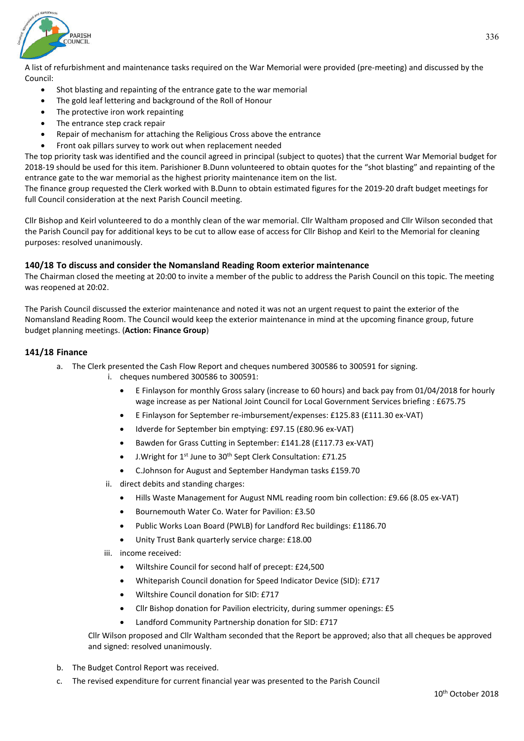

A list of refurbishment and maintenance tasks required on the War Memorial were provided (pre-meeting) and discussed by the Council:

- Shot blasting and repainting of the entrance gate to the war memorial
- The gold leaf lettering and background of the Roll of Honour
- The protective iron work repainting
- The entrance step crack repair
- Repair of mechanism for attaching the Religious Cross above the entrance
- Front oak pillars survey to work out when replacement needed

The top priority task was identified and the council agreed in principal (subject to quotes) that the current War Memorial budget for 2018-19 should be used for this item. Parishioner B.Dunn volunteered to obtain quotes for the "shot blasting" and repainting of the entrance gate to the war memorial as the highest priority maintenance item on the list.

The finance group requested the Clerk worked with B.Dunn to obtain estimated figures for the 2019-20 draft budget meetings for full Council consideration at the next Parish Council meeting.

Cllr Bishop and Keirl volunteered to do a monthly clean of the war memorial. Cllr Waltham proposed and Cllr Wilson seconded that the Parish Council pay for additional keys to be cut to allow ease of access for Cllr Bishop and Keirl to the Memorial for cleaning purposes: resolved unanimously.

#### **140/18 To discuss and consider the Nomansland Reading Room exterior maintenance**

The Chairman closed the meeting at 20:00 to invite a member of the public to address the Parish Council on this topic. The meeting was reopened at 20:02.

The Parish Council discussed the exterior maintenance and noted it was not an urgent request to paint the exterior of the Nomansland Reading Room. The Council would keep the exterior maintenance in mind at the upcoming finance group, future budget planning meetings. (**Action: Finance Group**)

#### **141/18 Finance**

- a. The Clerk presented the Cash Flow Report and cheques numbered 300586 to 300591 for signing.
	- i. cheques numbered 300586 to 300591:
		- E Finlayson for monthly Gross salary (increase to 60 hours) and back pay from 01/04/2018 for hourly wage increase as per National Joint Council for Local Government Services briefing : £675.75
		- E Finlayson for September re-imbursement/expenses: £125.83 (£111.30 ex-VAT)
		- Idverde for September bin emptying: £97.15 (£80.96 ex-VAT)
		- Bawden for Grass Cutting in September: £141.28 (£117.73 ex-VAT)
		- J. Wright for 1<sup>st</sup> June to 30<sup>th</sup> Sept Clerk Consultation: £71.25
		- C.Johnson for August and September Handyman tasks £159.70
	- ii. direct debits and standing charges:
		- Hills Waste Management for August NML reading room bin collection: £9.66 (8.05 ex-VAT)
		- Bournemouth Water Co. Water for Pavilion: £3.50
		- Public Works Loan Board (PWLB) for Landford Rec buildings: £1186.70
		- Unity Trust Bank quarterly service charge: £18.00
	- iii. income received:
		- Wiltshire Council for second half of precept: £24,500
		- Whiteparish Council donation for Speed Indicator Device (SID): £717
		- Wiltshire Council donation for SID: £717
		- Cllr Bishop donation for Pavilion electricity, during summer openings: £5
		- Landford Community Partnership donation for SID: £717

Cllr Wilson proposed and Cllr Waltham seconded that the Report be approved; also that all cheques be approved and signed: resolved unanimously.

- b. The Budget Control Report was received.
- c. The revised expenditure for current financial year was presented to the Parish Council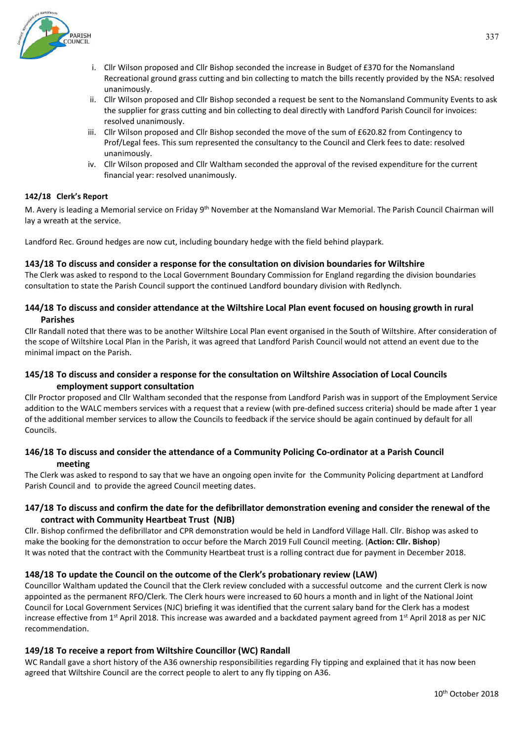

- i. Cllr Wilson proposed and Cllr Bishop seconded the increase in Budget of £370 for the Nomansland Recreational ground grass cutting and bin collecting to match the bills recently provided by the NSA: resolved unanimously.
- ii. Cllr Wilson proposed and Cllr Bishop seconded a request be sent to the Nomansland Community Events to ask the supplier for grass cutting and bin collecting to deal directly with Landford Parish Council for invoices: resolved unanimously.
- iii. Cllr Wilson proposed and Cllr Bishop seconded the move of the sum of £620.82 from Contingency to Prof/Legal fees. This sum represented the consultancy to the Council and Clerk fees to date: resolved unanimously.
- iv. Cllr Wilson proposed and Cllr Waltham seconded the approval of the revised expenditure for the current financial year: resolved unanimously.

#### **142/18 Clerk's Report**

M. Avery is leading a Memorial service on Friday 9<sup>th</sup> November at the Nomansland War Memorial. The Parish Council Chairman will lay a wreath at the service.

Landford Rec. Ground hedges are now cut, including boundary hedge with the field behind playpark.

#### **143/18 To discuss and consider a response for the consultation on division boundaries for Wiltshire**

The Clerk was asked to respond to the Local Government Boundary Commission for England regarding the division boundaries consultation to state the Parish Council support the continued Landford boundary division with Redlynch.

# **144/18 To discuss and consider attendance at the Wiltshire Local Plan event focused on housing growth in rural Parishes**

Cllr Randall noted that there was to be another Wiltshire Local Plan event organised in the South of Wiltshire. After consideration of the scope of Wiltshire Local Plan in the Parish, it was agreed that Landford Parish Council would not attend an event due to the minimal impact on the Parish.

# **145/18 To discuss and consider a response for the consultation on Wiltshire Association of Local Councils employment support consultation**

Cllr Proctor proposed and Cllr Waltham seconded that the response from Landford Parish was in support of the Employment Service addition to the WALC members services with a request that a review (with pre-defined success criteria) should be made after 1 year of the additional member services to allow the Councils to feedback if the service should be again continued by default for all Councils.

# **146/18 To discuss and consider the attendance of a Community Policing Co-ordinator at a Parish Council meeting**

The Clerk was asked to respond to say that we have an ongoing open invite for the Community Policing department at Landford Parish Council and to provide the agreed Council meeting dates.

# **147/18 To discuss and confirm the date for the defibrillator demonstration evening and consider the renewal of the contract with Community Heartbeat Trust (NJB)**

Cllr. Bishop confirmed the defibrillator and CPR demonstration would be held in Landford Village Hall. Cllr. Bishop was asked to make the booking for the demonstration to occur before the March 2019 Full Council meeting. (**Action: Cllr. Bishop**) It was noted that the contract with the Community Heartbeat trust is a rolling contract due for payment in December 2018.

# **148/18 To update the Council on the outcome of the Clerk's probationary review (LAW)**

Councillor Waltham updated the Council that the Clerk review concluded with a successful outcome and the current Clerk is now appointed as the permanent RFO/Clerk. The Clerk hours were increased to 60 hours a month and in light of the National Joint Council for Local Government Services (NJC) briefing it was identified that the current salary band for the Clerk has a modest increase effective from  $1<sup>st</sup>$  April 2018. This increase was awarded and a backdated payment agreed from  $1<sup>st</sup>$  April 2018 as per NJC recommendation.

# **149/18 To receive a report from Wiltshire Councillor (WC) Randall**

WC Randall gave a short history of the A36 ownership responsibilities regarding Fly tipping and explained that it has now been agreed that Wiltshire Council are the correct people to alert to any fly tipping on A36.